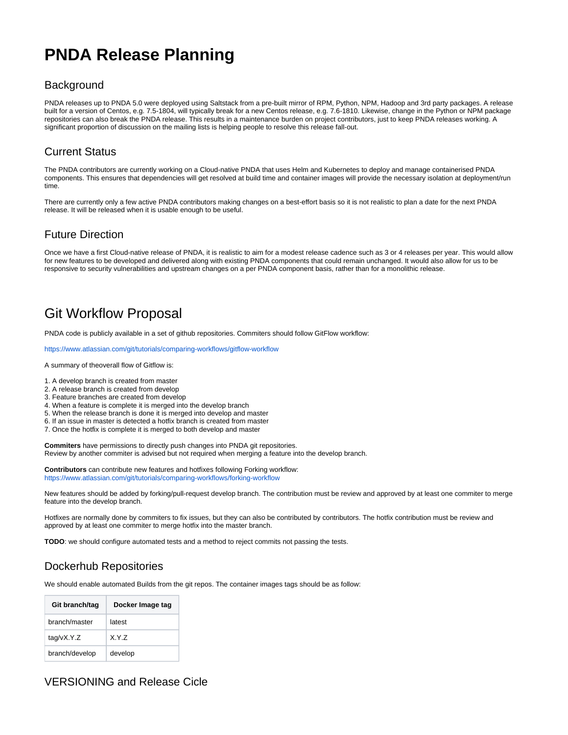# **PNDA Release Planning**

#### **Background**

PNDA releases up to PNDA 5.0 were deployed using Saltstack from a pre-built mirror of RPM, Python, NPM, Hadoop and 3rd party packages. A release built for a version of Centos, e.g. 7.5-1804, will typically break for a new Centos release, e.g. 7.6-1810. Likewise, change in the Python or NPM package repositories can also break the PNDA release. This results in a maintenance burden on project contributors, just to keep PNDA releases working. A significant proportion of discussion on the mailing lists is helping people to resolve this release fall-out.

## Current Status

The PNDA contributors are currently working on a Cloud-native PNDA that uses Helm and Kubernetes to deploy and manage containerised PNDA components. This ensures that dependencies will get resolved at build time and container images will provide the necessary isolation at deployment/run time.

There are currently only a few active PNDA contributors making changes on a best-effort basis so it is not realistic to plan a date for the next PNDA release. It will be released when it is usable enough to be useful.

### Future Direction

Once we have a first Cloud-native release of PNDA, it is realistic to aim for a modest release cadence such as 3 or 4 releases per year. This would allow for new features to be developed and delivered along with existing PNDA components that could remain unchanged. It would also allow for us to be responsive to security vulnerabilities and upstream changes on a per PNDA component basis, rather than for a monolithic release.

## Git Workflow Proposal

PNDA code is publicly available in a set of github repositories. Commiters should follow GitFlow workflow:

<https://www.atlassian.com/git/tutorials/comparing-workflows/gitflow-workflow>

A summary of theoverall flow of Gitflow is:

- 1. A develop branch is created from master
- 2. A release branch is created from develop
- 3. Feature branches are created from develop
- 4. When a feature is complete it is merged into the develop branch
- 5. When the release branch is done it is merged into develop and master
- 6. If an issue in master is detected a hotfix branch is created from master
- 7. Once the hotfix is complete it is merged to both develop and master

**Commiters** have permissions to directly push changes into PNDA git repositories. Review by another commiter is advised but not required when merging a feature into the develop branch.

**Contributors** can contribute new features and hotfixes following Forking workflow: <https://www.atlassian.com/git/tutorials/comparing-workflows/forking-workflow>

New features should be added by forking/pull-request develop branch. The contribution must be review and approved by at least one commiter to merge feature into the develop branch.

Hotfixes are normally done by commiters to fix issues, but they can also be contributed by contributors. The hotfix contribution must be review and approved by at least one commiter to merge hotfix into the master branch.

**TODO**: we should configure automated tests and a method to reject commits not passing the tests.

## Dockerhub Repositories

We should enable automated Builds from the git repos. The container images tags should be as follow:

| Git branch/tag | Docker Image tag |
|----------------|------------------|
| branch/master  | latest           |
| tag/vX.Y.Z     | X.Y.7            |
| branch/develop | develop          |

#### VERSIONING and Release Cicle